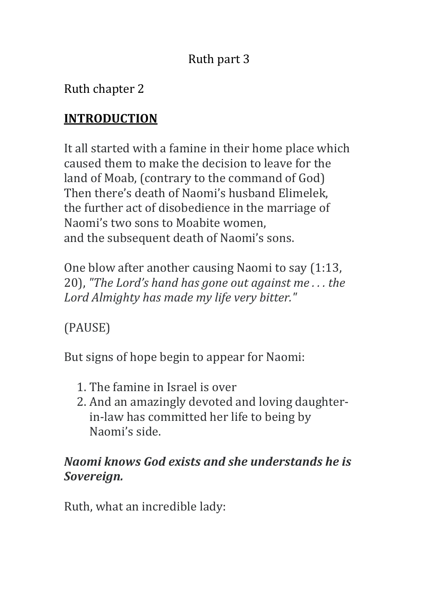# Ruth part 3

Ruth chapter 2

# **INTRODUCTION**

It all started with a famine in their home place which caused them to make the decision to leave for the land of Moab, (contrary to the command of God) Then there's death of Naomi's husband Elimelek. the further act of disobedience in the marriage of Naomi's two sons to Moabite women, and the subsequent death of Naomi's sons.

One blow after another causing Naomi to say (1:13, 20), "The Lord's hand has gone out against me... the Lord Almighty has made my life very bitter."

(PAUSE)

But signs of hope begin to appear for Naomi:

- 1. The famine in Israel is over
- 2. And an amazingly devoted and loving daughterin-law has committed her life to being by Naomi's side.

## *Naomi knows God exists and she understands he is Sovereign.*

Ruth, what an incredible lady: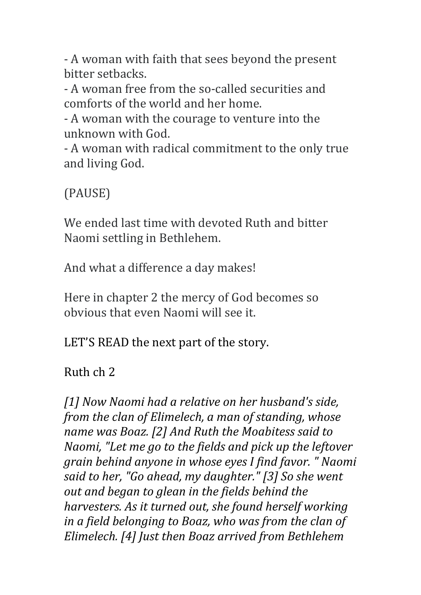- A woman with faith that sees beyond the present bitter setbacks. 

- A woman free from the so-called securities and comforts of the world and her home.

- A woman with the courage to venture into the unknown with God.

- A woman with radical commitment to the only true and living God.

(PAUSE)

We ended last time with devoted Ruth and bitter Naomi settling in Bethlehem.

And what a difference a day makes!

Here in chapter 2 the mercy of God becomes so obvious that even Naomi will see it.

LET'S READ the next part of the story.

Ruth ch 2

[1] Now Naomi had a relative on her husband's side, *from the clan of Elimelech, a man of standing, whose name* was Boaz. [2] And Ruth the Moabitess said to *Naomi, "Let me go to the fields and pick up the leftover grain behind anyone in whose eyes I find favor.* "*Naomi* said to her, "Go ahead, my daughter." [3] So she went *out and began to glean in the fields behind the harvesters. As it turned out, she found herself working in a field belonging to Boaz, who was from the clan of Elimelech.* [4] Just then Boaz arrived from Bethlehem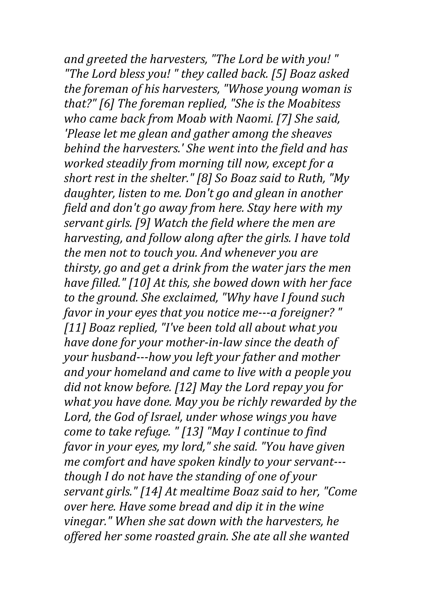and greeted the harvesters, "The Lord be with you!" "The Lord bless you! " they called back. [5] Boaz asked *the foreman of his harvesters, "Whose young woman is* that?" [6] The foreman replied, "She is the Moabitess *who came back from Moab with Naomi.* [7] She said, *'Please let me glean and gather among the sheaves behind the harvesters.' She went into the field and has worked steadily from morning till now, except for a short rest in the shelter."* [8] So Boaz said to Ruth, "My daughter, listen to me. Don't go and glean in another *field and don't go away from here. Stay here with my* servant girls. [9] Watch the field where the men are *harvesting, and follow along after the girls. I have told the men not to touch you. And whenever you are thirsty, go and get a drink from the water jars the men have filled."* [10] At this, she bowed down with her face to the ground. She exclaimed, "Why have I found such *favor in your eyes that you notice me---a foreigner?* " [11] Boaz replied, "I've been told all about what you *have done for your mother-in-law since the death of your* husband---how you left your father and mother and your homeland and came to live with a people you did not know before. [12] May the Lord repay you for *what you have done. May you be richly rewarded by the* Lord, the God of Israel, under whose wings you have *come to take refuge.* " [13] "May I continue to find *favor in your eyes, my lord," she said.* "You have given *me comfort and have spoken kindly to your servant--though I do not have the standing of one of your servant girls."* [14] At mealtime Boaz said to her, "Come *over here. Have some bread and dip it in the wine* vinegar." When she sat down with the harvesters, he offered her some roasted grain. She ate all she wanted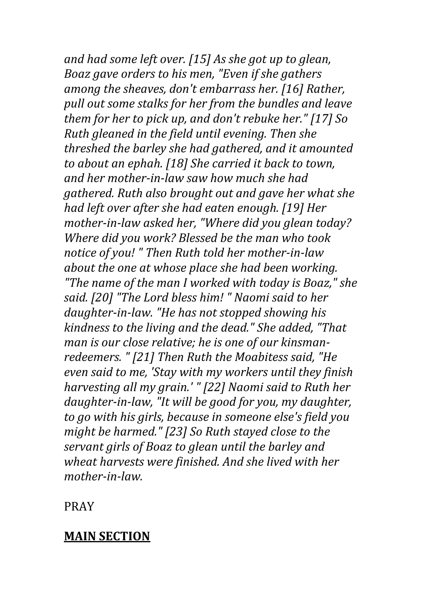and had some left over. [15] As she got up to glean, *Boaz gave orders to his men, "Even if she gathers among the sheaves, don't embarrass her.* [16] Rather, pull out some stalks for her from the bundles and leave *them for her to pick up, and don't rebuke her."* [17] So *Ruth gleaned in the field until evening. Then she* threshed the barley she had gathered, and it amounted to about an ephah. [18] She carried it back to town, and her mother-in-law saw how much she had *gathered.* Ruth also brought out and gave her what she *had left over after she had eaten enough.* [19] Her *mother-in-law asked her, "Where did you glean today? Where did you work? Blessed be the man who took* notice of you! " Then Ruth told her mother-in-law *about the one at whose place she had been working. "The name of the man I worked with today is Boaz," she*  said. [20] "The Lord bless him!" Naomi said to her daughter-in-law. "He has not stopped showing his *kindness to the living and the dead."* She added, "That *man is our close relative; he is one of our kinsman*redeemers. " [21] Then Ruth the Moabitess said, "He even said to me, 'Stay with my workers until they finish *harvesting all my grain.' "* [22] Naomi said to Ruth her daughter-in-law, "It will be good for you, my daughter, *to go with his girls, because in someone else's field you might be harmed."* [23] So Ruth stayed close to the servant girls of Boaz to glean until the barley and wheat harvests were finished. And she lived with her *mother-in-law.*

PRAY

## **MAIN SECTION**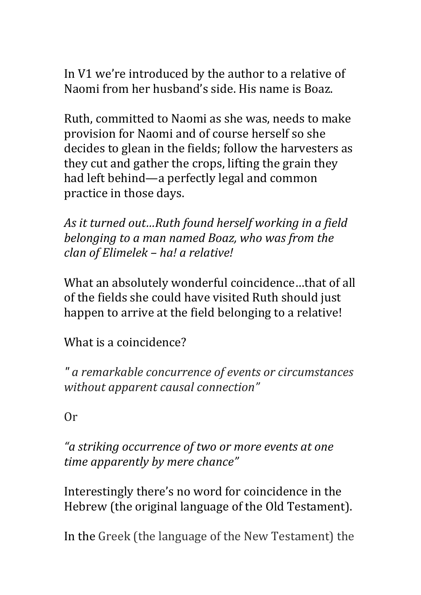In V1 we're introduced by the author to a relative of Naomi from her husband's side. His name is Boaz.

Ruth, committed to Naomi as she was, needs to make provision for Naomi and of course herself so she decides to glean in the fields; follow the harvesters as they cut and gather the crops, lifting the grain they had left behind—a perfectly legal and common practice in those days.

As it turned out...Ruth found herself working in a field *belonging to a man named Boaz, who was from the clan of Elimelek – ha! a relative!*

What an absolutely wonderful coincidence...that of all of the fields she could have visited Ruth should just happen to arrive at the field belonging to a relative!

What is a coincidence?

*" a remarkable concurrence of events or circumstances without apparent causal connection"*

Or 

"a striking occurrence of two or more events at one *time apparently by mere chance"*

Interestingly there's no word for coincidence in the Hebrew (the original language of the Old Testament).

In the Greek (the language of the New Testament) the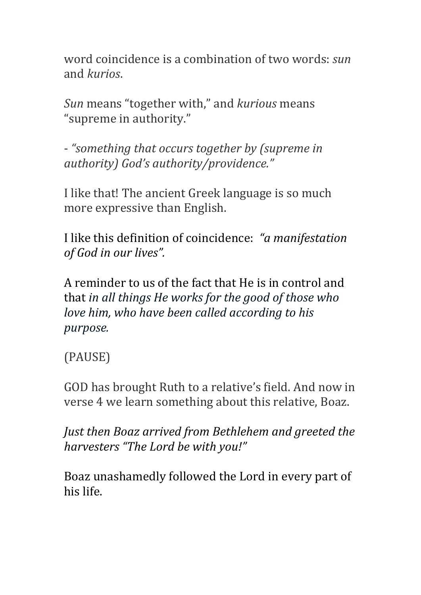word coincidence is a combination of two words: *sun* and *kurios*.

*Sun* means "together with," and *kurious* means "supreme in authority."

- "something that occurs together by (supreme in *authority) God's authority/providence."*

I like that! The ancient Greek language is so much more expressive than English.

I like this definition of coincidence: "a manifestation of God in our lives".

A reminder to us of the fact that He is in control and that *in all things He works for the good of those who love him, who have been called according to his purpose.*

# (PAUSE)

GOD has brought Ruth to a relative's field. And now in verse 4 we learn something about this relative, Boaz.

*Just then Boaz arrived from Bethlehem and greeted the harvesters "The Lord be with you!"*

Boaz unashamedly followed the Lord in every part of his life.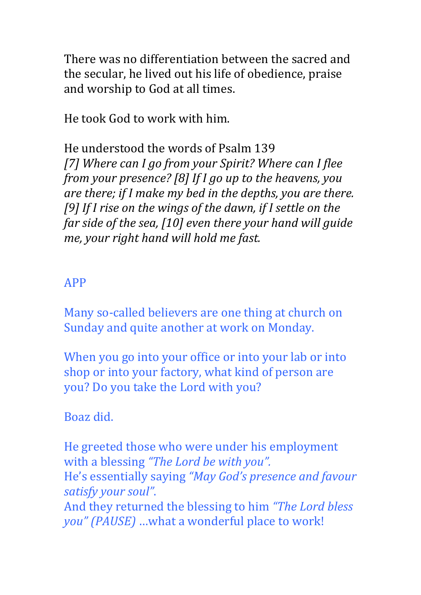There was no differentiation between the sacred and the secular, he lived out his life of obedience, praise and worship to God at all times.

He took God to work with him.

He understood the words of Psalm 139 [7] Where can I go from your Spirit? Where can I flee *from your presence?* [8] If I go up to the heavens, you *are there;* if *I* make my bed in the depths, you are there. [9] If I rise on the wings of the dawn, if I settle on the *far side of the sea,* [10] even there your hand will guide *me, your right hand will hold me fast.* 

#### APP

Many so-called believers are one thing at church on Sunday and quite another at work on Monday.

When you go into your office or into your lab or into shop or into your factory, what kind of person are you? Do you take the Lord with you?

## Boaz did.

He greeted those who were under his employment with a blessing "The Lord be with you". He's essentially saying "May God's presence and favour satisfy your soul".

And they returned the blessing to him *"The Lord bless*" *you"* (PAUSE) ...what a wonderful place to work!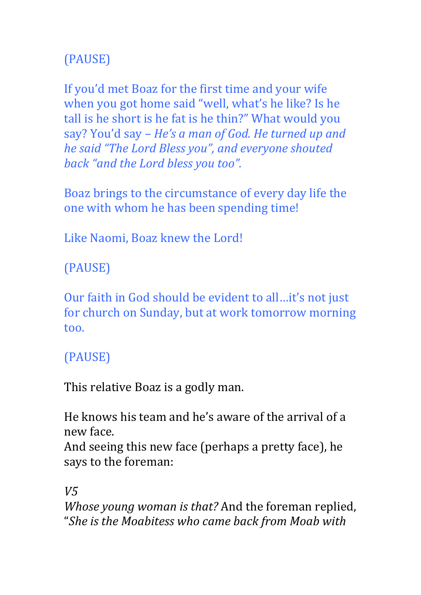# (PAUSE)

If you'd met Boaz for the first time and your wife when you got home said "well, what's he like? Is he tall is he short is he fat is he thin?" What would you say? You'd say - *He's a man of God. He turned up and he said "The Lord Bless you", and everyone shouted* back "and the Lord bless you too".

Boaz brings to the circumstance of every day life the one with whom he has been spending time!

Like Naomi, Boaz knew the Lord!

(PAUSE)

Our faith in God should be evident to all...it's not just for church on Sunday, but at work tomorrow morning too.

## (PAUSE)

This relative Boaz is a godly man.

He knows his team and he's aware of the arrival of a new face.

And seeing this new face (perhaps a pretty face), he says to the foreman:

*V5*

*Whose young woman is that?* And the foreman replied, "She is the Moabitess who came back from Moab with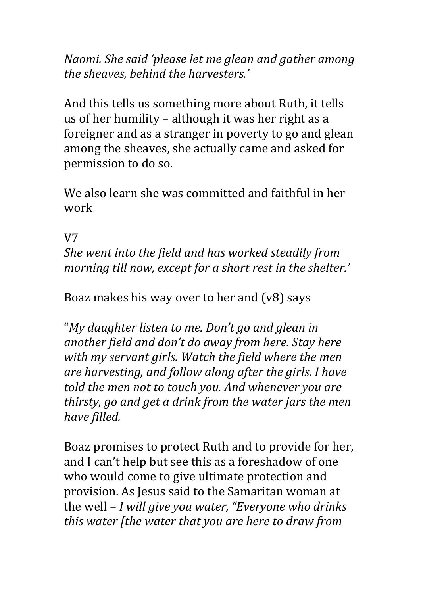*Naomi. She said 'please let me glean and gather among the sheaves, behind the harvesters.'*

And this tells us something more about Ruth, it tells us of her humility – although it was her right as a foreigner and as a stranger in poverty to go and glean among the sheaves, she actually came and asked for permission to do so.

We also learn she was committed and faithful in her work

## V7

*She went into the field and has worked steadily from morning till now, except for a short rest in the shelter.'* 

Boaz makes his way over to her and  $(v8)$  says

"My daughter listen to me. Don't go and glean in another field and don't do away from here. Stay here with my servant girls. Watch the field where the men are harvesting, and follow along after the girls. I have told the men not to touch you. And whenever you are *thirsty, go and get a drink from the water jars the men have filled.*

Boaz promises to protect Ruth and to provide for her, and I can't help but see this as a foreshadow of one who would come to give ultimate protection and provision. As Jesus said to the Samaritan woman at the well – *I will give you water, "Everyone who drinks this* water [the water that you are here to draw from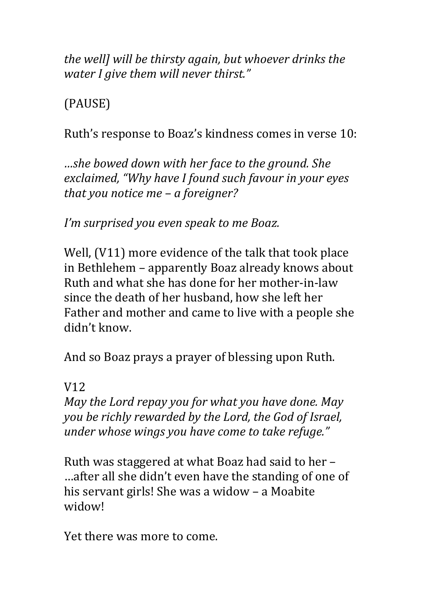*the welll will be thirsty again, but whoever drinks the water I aive them will never thirst."* 

(PAUSE)

Ruth's response to Boaz's kindness comes in verse 10:

*…she bowed down with her face to the ground.* She exclaimed, "Why have I found such favour in your eyes *that you notice me – a foreigner?* 

*I'm* surprised you even speak to me Boaz.

Well,  $(V11)$  more evidence of the talk that took place in Bethlehem - apparently Boaz already knows about Ruth and what she has done for her mother-in-law since the death of her husband, how she left her Father and mother and came to live with a people she didn't know.

And so Boaz prays a prayer of blessing upon Ruth.

## V12

*May the Lord repay you for what you have done. May* you be richly rewarded by the Lord, the God of Israel, *under whose wings you have come to take refuge."* 

Ruth was staggered at what Boaz had said to her  $-$ ...after all she didn't even have the standing of one of his servant girls! She was a widow  $-$  a Moabite widow!

Yet there was more to come.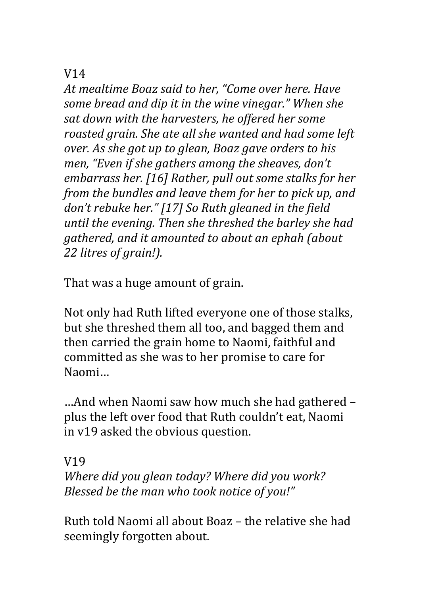## V14

At mealtime Boaz said to her, "Come over here. Have *some bread and dip it in the wine vinegar." When she* sat down with the harvesters, he offered her some *roasted grain.* She ate all she wanted and had some left *over.* As she got up to glean, Boaz gave orders to his *men, "Even if she gathers among the sheaves, don't embarrass her.* [16] Rather, pull out some stalks for her *from the bundles and leave them for her to pick up, and* don't rebuke her." [17] So Ruth gleaned in the field *until the evening. Then she threshed the barley she had gathered, and it amounted to about an ephah (about* 22 litres of grain!).

That was a huge amount of grain.

Not only had Ruth lifted everyone one of those stalks, but she threshed them all too, and bagged them and then carried the grain home to Naomi, faithful and committed as she was to her promise to care for Naomi…

…And when Naomi saw how much she had gathered – plus the left over food that Ruth couldn't eat, Naomi in v19 asked the obvious question.

#### V19

*Where did you glean today? Where did you work? Blessed be the man who took notice of you!"* 

Ruth told Naomi all about Boaz - the relative she had seemingly forgotten about.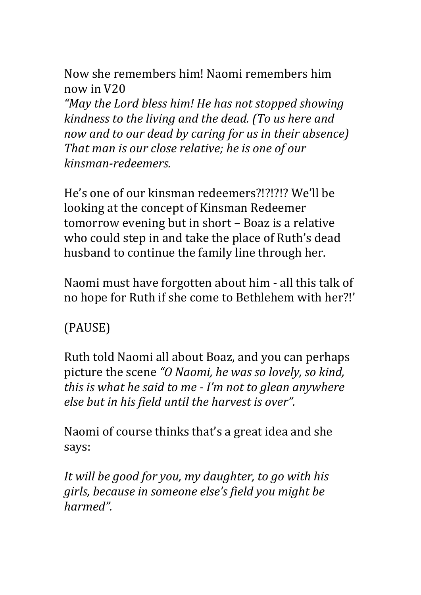Now she remembers him! Naomi remembers him now in V20 

*"May the Lord bless him! He has not stopped showing kindness to the living and the dead. (To us here and now and to our dead by caring for us in their absence*) That man is our close relative; he is one of our *kinsman-redeemers.* 

He's one of our kinsman redeemers?!?!?!? We'll be looking at the concept of Kinsman Redeemer tomorrow evening but in short - Boaz is a relative who could step in and take the place of Ruth's dead husband to continue the family line through her.

Naomi must have forgotten about him - all this talk of no hope for Ruth if she come to Bethlehem with her?!'

## (PAUSE)

Ruth told Naomi all about Boaz, and you can perhaps picture the scene "O Naomi, he was so lovely, so kind, *this is what he said to me - I'm not to glean anywhere else but in his field until the harvest is over".* 

Naomi of course thinks that's a great idea and she says:

It will be good for you, my daughter, to go with his girls, because in someone else's field you might be *harmed".*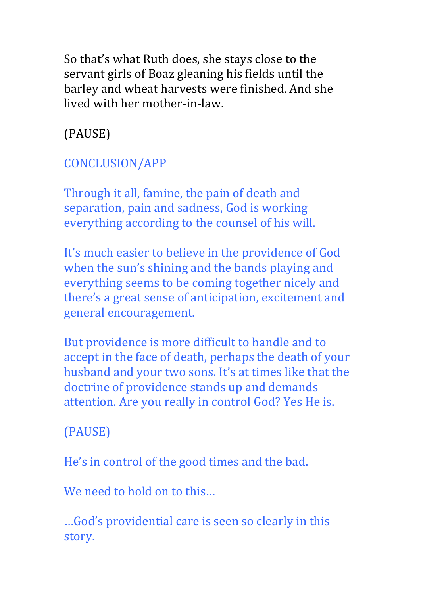So that's what Ruth does, she stays close to the servant girls of Boaz gleaning his fields until the barley and wheat harvests were finished. And she lived with her mother-in-law.

(PAUSE)

# CONCLUSION/APP

Through it all, famine, the pain of death and separation, pain and sadness, God is working everything according to the counsel of his will.

It's much easier to believe in the providence of God when the sun's shining and the bands playing and everything seems to be coming together nicely and there's a great sense of anticipation, excitement and general encouragement.

But providence is more difficult to handle and to accept in the face of death, perhaps the death of your husband and your two sons. It's at times like that the doctrine of providence stands up and demands attention. Are you really in control God? Yes He is.

# (PAUSE)

He's in control of the good times and the bad.

We need to hold on to this

... God's providential care is seen so clearly in this story.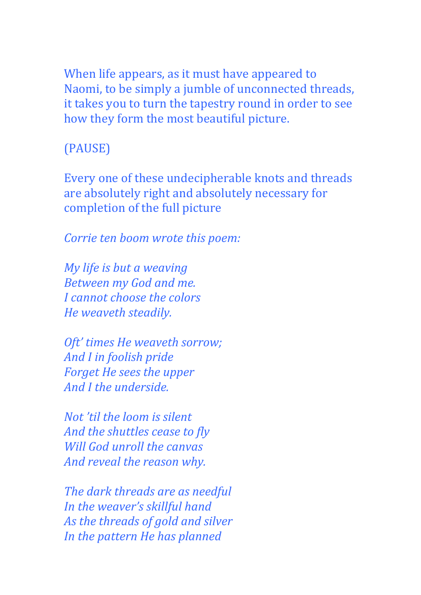When life appears, as it must have appeared to Naomi, to be simply a jumble of unconnected threads, it takes you to turn the tapestry round in order to see how they form the most beautiful picture.

## (PAUSE)

Every one of these undecipherable knots and threads are absolutely right and absolutely necessary for completion of the full picture

*Corrie ten boom wrote this poem:* 

*My life is but a weaving Between my God and me. I cannot choose the colors He weaveth steadily.*

*Oft' times He weaveth sorrow;* And I in foolish pride *Forget He sees the upper And I the underside.*

*Not'til the loom is silent* And the shuttles cease to fly *Will* God unroll the canvas And reveal the reason why.

*The dark threads are as needful In the weaver's skillful hand* As the threads of gold and silver *In the pattern He has planned*